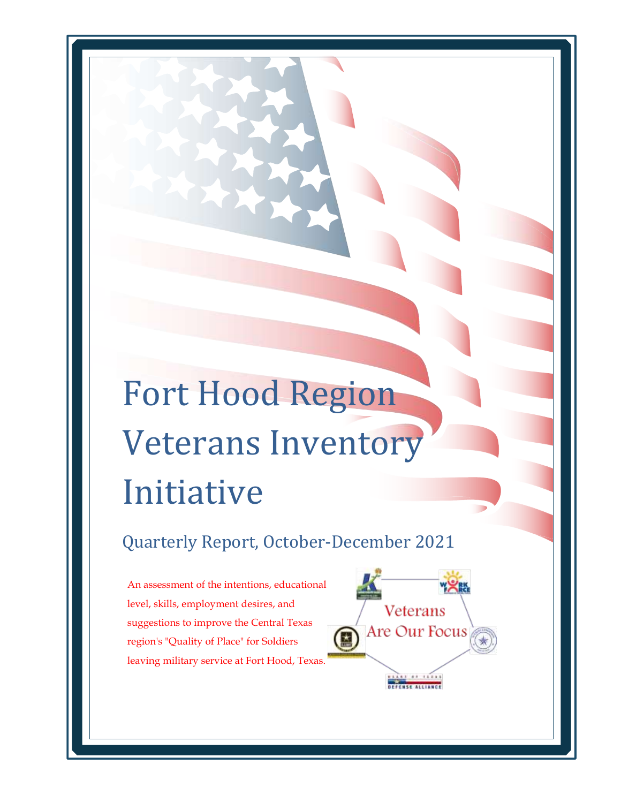# Fort Hood Region Veterans Inventory Initiative

Quarterly Report, October-December 2021

Veterans

Are Our Focus

An assessment of the intentions, educational level, skills, employment desires, and suggestions to improve the Central Texas region's "Quality of Place" for Soldiers leaving military service at Fort Hood, Texas.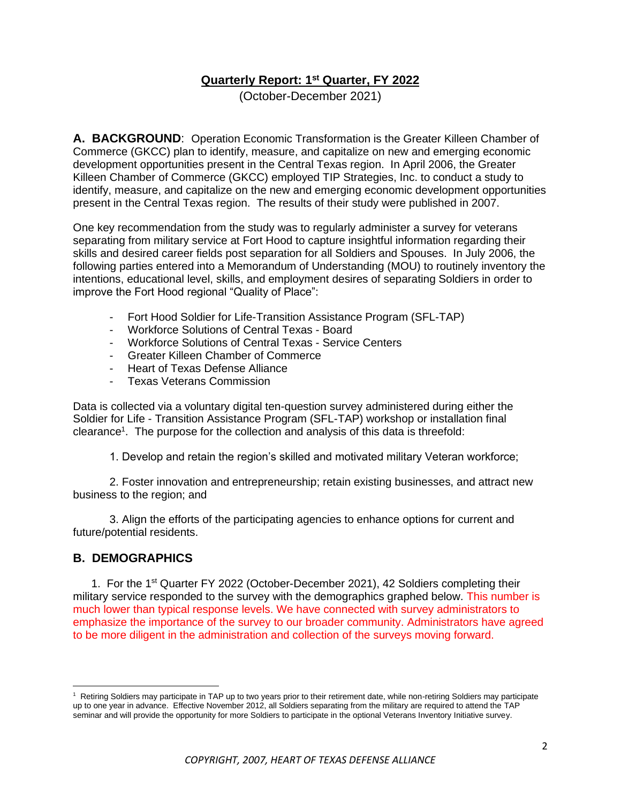#### **Quarterly Report: 1 st Quarter, FY 2022**

(October-December 2021)

**A. BACKGROUND**: Operation Economic Transformation is the Greater Killeen Chamber of Commerce (GKCC) plan to identify, measure, and capitalize on new and emerging economic development opportunities present in the Central Texas region. In April 2006, the Greater Killeen Chamber of Commerce (GKCC) employed TIP Strategies, Inc. to conduct a study to identify, measure, and capitalize on the new and emerging economic development opportunities present in the Central Texas region. The results of their study were published in 2007.

One key recommendation from the study was to regularly administer a survey for veterans separating from military service at Fort Hood to capture insightful information regarding their skills and desired career fields post separation for all Soldiers and Spouses. In July 2006, the following parties entered into a Memorandum of Understanding (MOU) to routinely inventory the intentions, educational level, skills, and employment desires of separating Soldiers in order to improve the Fort Hood regional "Quality of Place":

- Fort Hood Soldier for Life-Transition Assistance Program (SFL-TAP)
- Workforce Solutions of Central Texas Board
- Workforce Solutions of Central Texas Service Centers
- Greater Killeen Chamber of Commerce
- Heart of Texas Defense Alliance
- Texas Veterans Commission

Data is collected via a voluntary digital ten-question survey administered during either the Soldier for Life - Transition Assistance Program (SFL-TAP) workshop or installation final clearance<sup>1</sup>. The purpose for the collection and analysis of this data is threefold:

1. Develop and retain the region's skilled and motivated military Veteran workforce;

2. Foster innovation and entrepreneurship; retain existing businesses, and attract new business to the region; and

3. Align the efforts of the participating agencies to enhance options for current and future/potential residents.

#### **B. DEMOGRAPHICS**

1. For the 1<sup>st</sup> Quarter FY 2022 (October-December 2021), 42 Soldiers completing their military service responded to the survey with the demographics graphed below. This number is much lower than typical response levels. We have connected with survey administrators to emphasize the importance of the survey to our broader community. Administrators have agreed to be more diligent in the administration and collection of the surveys moving forward.

<sup>&</sup>lt;sup>1</sup> Retiring Soldiers may participate in TAP up to two years prior to their retirement date, while non-retiring Soldiers may participate up to one year in advance. Effective November 2012, all Soldiers separating from the military are required to attend the TAP seminar and will provide the opportunity for more Soldiers to participate in the optional Veterans Inventory Initiative survey.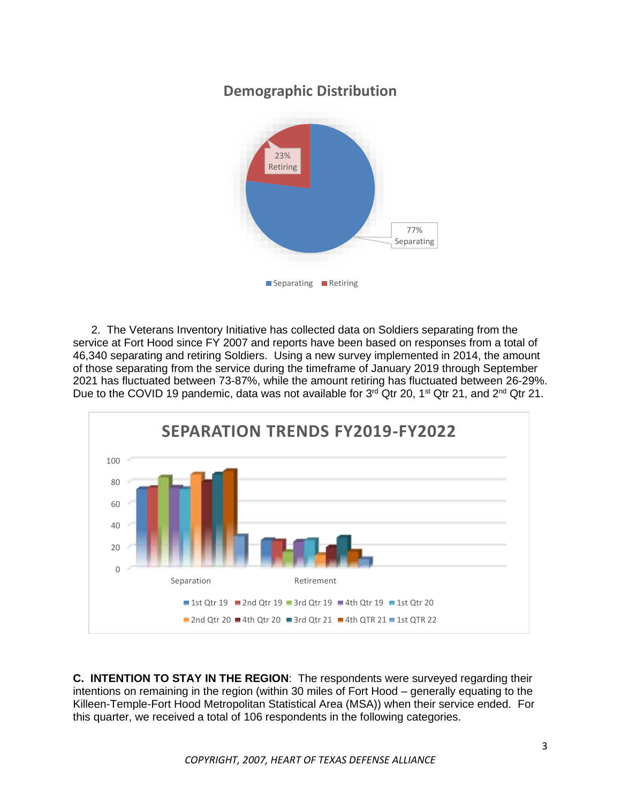# **Demographic Distribution**



2. The Veterans Inventory Initiative has collected data on Soldiers separating from the service at Fort Hood since FY 2007 and reports have been based on responses from a total of 46,340 separating and retiring Soldiers. Using a new survey implemented in 2014, the amount of those separating from the service during the timeframe of January 2019 through September 2021 has fluctuated between 73-87%, while the amount retiring has fluctuated between 26-29%. Due to the COVID 19 pandemic, data was not available for  $3^{rd}$  Qtr 20, 1<sup>st</sup> Qtr 21, and  $2^{nd}$  Qtr 21.



**C. INTENTION TO STAY IN THE REGION**: The respondents were surveyed regarding their intentions on remaining in the region (within 30 miles of Fort Hood – generally equating to the Killeen-Temple-Fort Hood Metropolitan Statistical Area (MSA)) when their service ended. For this quarter, we received a total of 106 respondents in the following categories.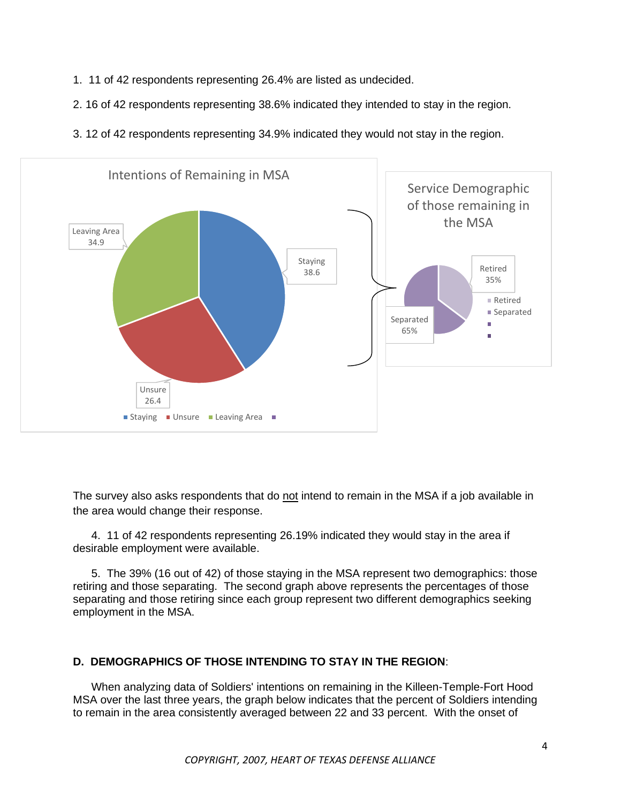- 1. 11 of 42 respondents representing 26.4% are listed as undecided.
- 2. 16 of 42 respondents representing 38.6% indicated they intended to stay in the region.
- 3. 12 of 42 respondents representing 34.9% indicated they would not stay in the region.



The survey also asks respondents that do not intend to remain in the MSA if a job available in the area would change their response.

4. 11 of 42 respondents representing 26.19% indicated they would stay in the area if desirable employment were available.

5. The 39% (16 out of 42) of those staying in the MSA represent two demographics: those retiring and those separating. The second graph above represents the percentages of those separating and those retiring since each group represent two different demographics seeking employment in the MSA.

#### **D. DEMOGRAPHICS OF THOSE INTENDING TO STAY IN THE REGION**:

When analyzing data of Soldiers' intentions on remaining in the Killeen-Temple-Fort Hood MSA over the last three years, the graph below indicates that the percent of Soldiers intending to remain in the area consistently averaged between 22 and 33 percent. With the onset of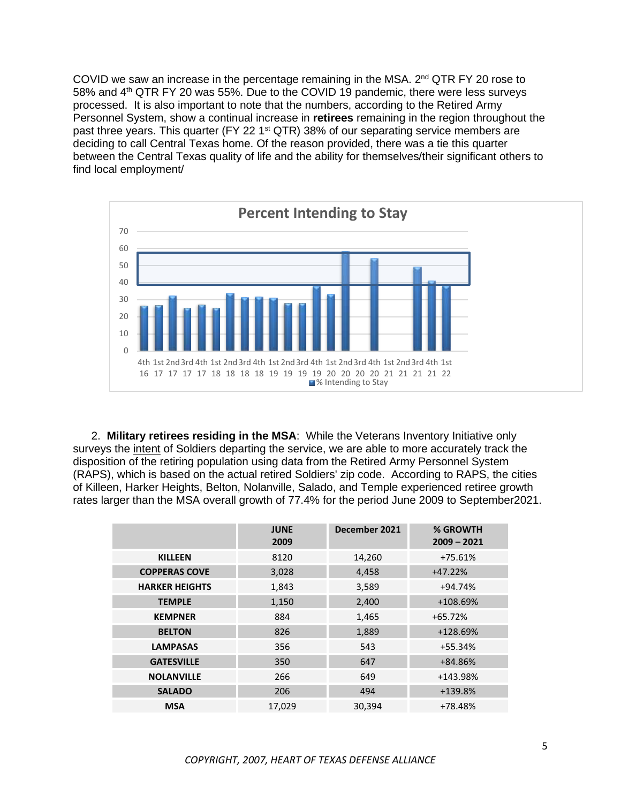COVID we saw an increase in the percentage remaining in the MSA. 2<sup>nd</sup> QTR FY 20 rose to 58% and 4<sup>th</sup> QTR FY 20 was 55%. Due to the COVID 19 pandemic, there were less surveys processed. It is also important to note that the numbers, according to the Retired Army Personnel System, show a continual increase in **retirees** remaining in the region throughout the past three years. This quarter (FY 22 1<sup>st</sup> QTR) 38% of our separating service members are deciding to call Central Texas home. Of the reason provided, there was a tie this quarter between the Central Texas quality of life and the ability for themselves/their significant others to find local employment/



2. **Military retirees residing in the MSA**: While the Veterans Inventory Initiative only surveys the intent of Soldiers departing the service, we are able to more accurately track the disposition of the retiring population using data from the Retired Army Personnel System (RAPS), which is based on the actual retired Soldiers' zip code. According to RAPS, the cities of Killeen, Harker Heights, Belton, Nolanville, Salado, and Temple experienced retiree growth rates larger than the MSA overall growth of 77.4% for the period June 2009 to September2021.

|                       | <b>JUNE</b><br>2009 | December 2021 | % GROWTH<br>$2009 - 2021$ |
|-----------------------|---------------------|---------------|---------------------------|
| <b>KILLEEN</b>        | 8120                | 14,260        | $+75.61%$                 |
| <b>COPPERAS COVE</b>  | 3,028               | 4,458         | $+47.22%$                 |
| <b>HARKER HEIGHTS</b> | 1,843               | 3,589         | $+94.74%$                 |
| <b>TEMPLE</b>         | 1,150               | 2,400         | +108.69%                  |
| <b>KEMPNER</b>        | 884                 | 1,465         | $+65.72%$                 |
| <b>BELTON</b>         | 826                 | 1,889         | +128.69%                  |
| <b>LAMPASAS</b>       | 356                 | 543           | +55.34%                   |
| <b>GATESVILLE</b>     | 350                 | 647           | +84.86%                   |
| <b>NOLANVILLE</b>     | 266                 | 649           | +143.98%                  |
| <b>SALADO</b>         | 206                 | 494           | +139.8%                   |
| <b>MSA</b>            | 17,029              | 30,394        | +78.48%                   |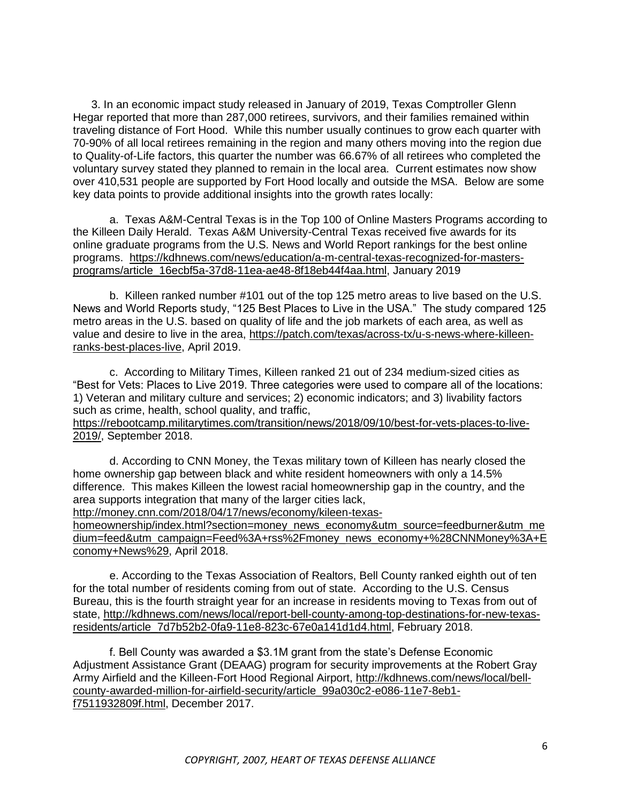3. In an economic impact study released in January of 2019, Texas Comptroller Glenn Hegar reported that more than 287,000 retirees, survivors, and their families remained within traveling distance of Fort Hood. While this number usually continues to grow each quarter with 70-90% of all local retirees remaining in the region and many others moving into the region due to Quality-of-Life factors, this quarter the number was 66.67% of all retirees who completed the voluntary survey stated they planned to remain in the local area. Current estimates now show over 410,531 people are supported by Fort Hood locally and outside the MSA. Below are some key data points to provide additional insights into the growth rates locally:

a. Texas A&M-Central Texas is in the Top 100 of Online Masters Programs according to the Killeen Daily Herald. Texas A&M University-Central Texas received five awards for its online graduate programs from the U.S. News and World Report rankings for the best online programs. [https://kdhnews.com/news/education/a-m-central-texas-recognized-for-masters](https://kdhnews.com/news/education/a-m-central-texas-recognized-for-masters-programs/article_16ecbf5a-37d8-11ea-ae48-8f18eb44f4aa.html)[programs/article\\_16ecbf5a-37d8-11ea-ae48-8f18eb44f4aa.html,](https://kdhnews.com/news/education/a-m-central-texas-recognized-for-masters-programs/article_16ecbf5a-37d8-11ea-ae48-8f18eb44f4aa.html) January 2019

b. Killeen ranked number #101 out of the top 125 metro areas to live based on the U.S. News and World Reports study, "125 Best Places to Live in the USA." The study compared 125 metro areas in the U.S. based on quality of life and the job markets of each area, as well as value and desire to live in the area, https://patch.com/texas/across-tx/u-s-news-where-killeenranks-best-places-live, April 2019.

c. According to Military Times, Killeen ranked 21 out of 234 medium-sized cities as "Best for Vets: Places to Live 2019. Three categories were used to compare all of the locations: 1) Veteran and military culture and services; 2) economic indicators; and 3) livability factors such as crime, health, school quality, and traffic,

[https://rebootcamp.militarytimes.com/transition/news/2018/09/10/best-for-vets-places-to-live-](https://rebootcamp.militarytimes.com/transition/news/2018/09/10/best-for-vets-places-to-live-2019/)[2019/,](https://rebootcamp.militarytimes.com/transition/news/2018/09/10/best-for-vets-places-to-live-2019/) September 2018.

d. According to CNN Money, the Texas military town of Killeen has nearly closed the home ownership gap between black and white resident homeowners with only a 14.5% difference. This makes Killeen the lowest racial homeownership gap in the country, and the area supports integration that many of the larger cities lack,

[http://money.cnn.com/2018/04/17/news/economy/kileen-texas-](http://money.cnn.com/2018/04/17/news/economy/kileen-texas-homeownership/index.html?section=money_news_economy&utm_source=feedburner&utm_medium=feed&utm_campaign=Feed%3A+rss%2Fmoney_news_economy+%28CNNMoney%3A+Economy+News%29)

[homeownership/index.html?section=money\\_news\\_economy&utm\\_source=feedburner&utm\\_me](http://money.cnn.com/2018/04/17/news/economy/kileen-texas-homeownership/index.html?section=money_news_economy&utm_source=feedburner&utm_medium=feed&utm_campaign=Feed%3A+rss%2Fmoney_news_economy+%28CNNMoney%3A+Economy+News%29) [dium=feed&utm\\_campaign=Feed%3A+rss%2Fmoney\\_news\\_economy+%28CNNMoney%3A+E](http://money.cnn.com/2018/04/17/news/economy/kileen-texas-homeownership/index.html?section=money_news_economy&utm_source=feedburner&utm_medium=feed&utm_campaign=Feed%3A+rss%2Fmoney_news_economy+%28CNNMoney%3A+Economy+News%29) [conomy+News%29,](http://money.cnn.com/2018/04/17/news/economy/kileen-texas-homeownership/index.html?section=money_news_economy&utm_source=feedburner&utm_medium=feed&utm_campaign=Feed%3A+rss%2Fmoney_news_economy+%28CNNMoney%3A+Economy+News%29) April 2018.

e. According to the Texas Association of Realtors, Bell County ranked eighth out of ten for the total number of residents coming from out of state. According to the U.S. Census Bureau, this is the fourth straight year for an increase in residents moving to Texas from out of state, [http://kdhnews.com/news/local/report-bell-county-among-top-destinations-for-new-texas](http://kdhnews.com/news/local/report-bell-county-among-top-destinations-for-new-texas-residents/article_7d7b52b2-0fa9-11e8-823c-67e0a141d1d4.html)[residents/article\\_7d7b52b2-0fa9-11e8-823c-67e0a141d1d4.html,](http://kdhnews.com/news/local/report-bell-county-among-top-destinations-for-new-texas-residents/article_7d7b52b2-0fa9-11e8-823c-67e0a141d1d4.html) February 2018.

f. Bell County was awarded a \$3.1M grant from the state's Defense Economic Adjustment Assistance Grant (DEAAG) program for security improvements at the Robert Gray Army Airfield and the Killeen-Fort Hood Regional Airport, [http://kdhnews.com/news/local/bell](http://kdhnews.com/news/local/bell-county-awarded-million-for-airfield-security/article_99a030c2-e086-11e7-8eb1-f7511932809f.html)[county-awarded-million-for-airfield-security/article\\_99a030c2-e086-11e7-8eb1](http://kdhnews.com/news/local/bell-county-awarded-million-for-airfield-security/article_99a030c2-e086-11e7-8eb1-f7511932809f.html) [f7511932809f.html,](http://kdhnews.com/news/local/bell-county-awarded-million-for-airfield-security/article_99a030c2-e086-11e7-8eb1-f7511932809f.html) December 2017.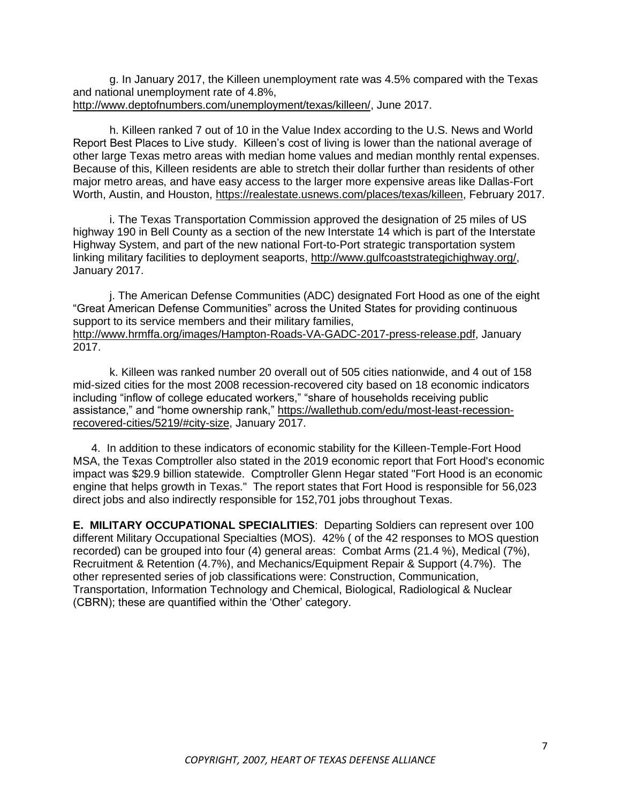g. In January 2017, the Killeen unemployment rate was 4.5% compared with the Texas and national unemployment rate of 4.8%, [http://www.deptofnumbers.com/unemployment/texas/killeen/,](http://www.deptofnumbers.com/unemployment/texas/killeen/) June 2017.

h. Killeen ranked 7 out of 10 in the Value Index according to the U.S. News and World Report Best Places to Live study. Killeen's cost of living is lower than the national average of other large Texas metro areas with median home values and median monthly rental expenses. Because of this, Killeen residents are able to stretch their dollar further than residents of other major metro areas, and have easy access to the larger more expensive areas like Dallas-Fort Worth, Austin, and Houston, [https://realestate.usnews.com/places/texas/killeen,](https://realestate.usnews.com/places/texas/killeen) February 2017.

i. The Texas Transportation Commission approved the designation of 25 miles of US highway 190 in Bell County as a section of the new Interstate 14 which is part of the Interstate Highway System, and part of the new national Fort-to-Port strategic transportation system linking military facilities to deployment seaports, [http://www.gulfcoaststrategichighway.org/,](http://www.gulfcoaststrategichighway.org/) January 2017.

j. The American Defense Communities (ADC) designated Fort Hood as one of the eight "Great American Defense Communities" across the United States for providing continuous support to its service members and their military families, [http://www.hrmffa.org/images/Hampton-Roads-VA-GADC-2017-press-release.pdf,](http://www.hrmffa.org/images/Hampton-Roads-VA-GADC-2017-press-release.pdf) January 2017.

k. Killeen was ranked number 20 overall out of 505 cities nationwide, and 4 out of 158 mid-sized cities for the most 2008 recession-recovered city based on 18 economic indicators including "inflow of college educated workers," "share of households receiving public assistance," and "home ownership rank," [https://wallethub.com/edu/most-least-recession](https://wallethub.com/edu/most-least-recession-recovered-cities/5219/#city-size)[recovered-cities/5219/#city-size,](https://wallethub.com/edu/most-least-recession-recovered-cities/5219/#city-size) January 2017.

4. In addition to these indicators of economic stability for the Killeen-Temple-Fort Hood MSA, the Texas Comptroller also stated in the 2019 economic report that Fort Hood's economic impact was \$29.9 billion statewide. Comptroller Glenn Hegar stated "Fort Hood is an economic engine that helps growth in Texas." The report states that Fort Hood is responsible for 56,023 direct jobs and also indirectly responsible for 152,701 jobs throughout Texas.

**E. MILITARY OCCUPATIONAL SPECIALITIES**: Departing Soldiers can represent over 100 different Military Occupational Specialties (MOS). 42% ( of the 42 responses to MOS question recorded) can be grouped into four (4) general areas: Combat Arms (21.4 %), Medical (7%), Recruitment & Retention (4.7%), and Mechanics/Equipment Repair & Support (4.7%). The other represented series of job classifications were: Construction, Communication, Transportation, Information Technology and Chemical, Biological, Radiological & Nuclear (CBRN); these are quantified within the 'Other' category.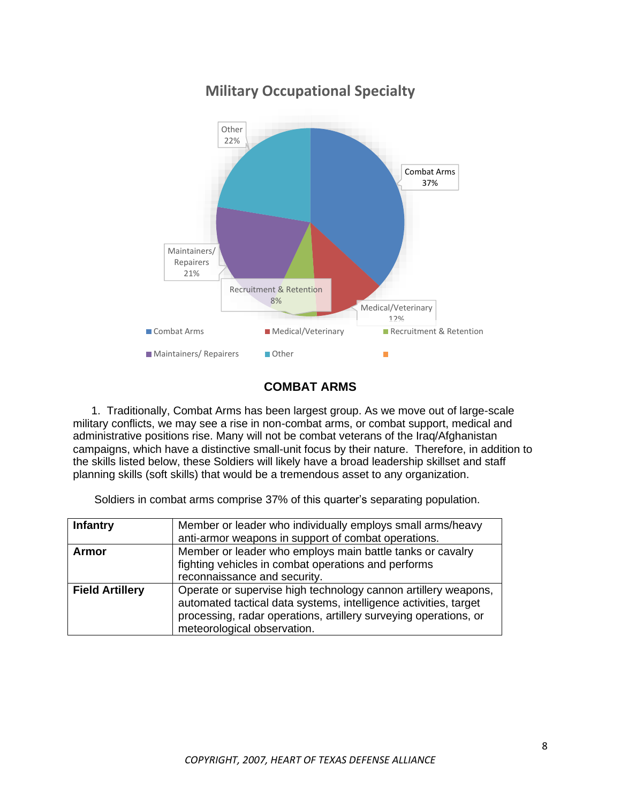

# **Military Occupational Specialty**

## **COMBAT ARMS**

1. Traditionally, Combat Arms has been largest group. As we move out of large-scale military conflicts, we may see a rise in non-combat arms, or combat support, medical and administrative positions rise. Many will not be combat veterans of the Iraq/Afghanistan campaigns, which have a distinctive small-unit focus by their nature. Therefore, in addition to the skills listed below, these Soldiers will likely have a broad leadership skillset and staff planning skills (soft skills) that would be a tremendous asset to any organization.

Soldiers in combat arms comprise 37% of this quarter's separating population.

| <b>Infantry</b>        | Member or leader who individually employs small arms/heavy<br>anti-armor weapons in support of combat operations.                                                                                                                     |
|------------------------|---------------------------------------------------------------------------------------------------------------------------------------------------------------------------------------------------------------------------------------|
| <b>Armor</b>           | Member or leader who employs main battle tanks or cavalry<br>fighting vehicles in combat operations and performs<br>reconnaissance and security.                                                                                      |
| <b>Field Artillery</b> | Operate or supervise high technology cannon artillery weapons,<br>automated tactical data systems, intelligence activities, target<br>processing, radar operations, artillery surveying operations, or<br>meteorological observation. |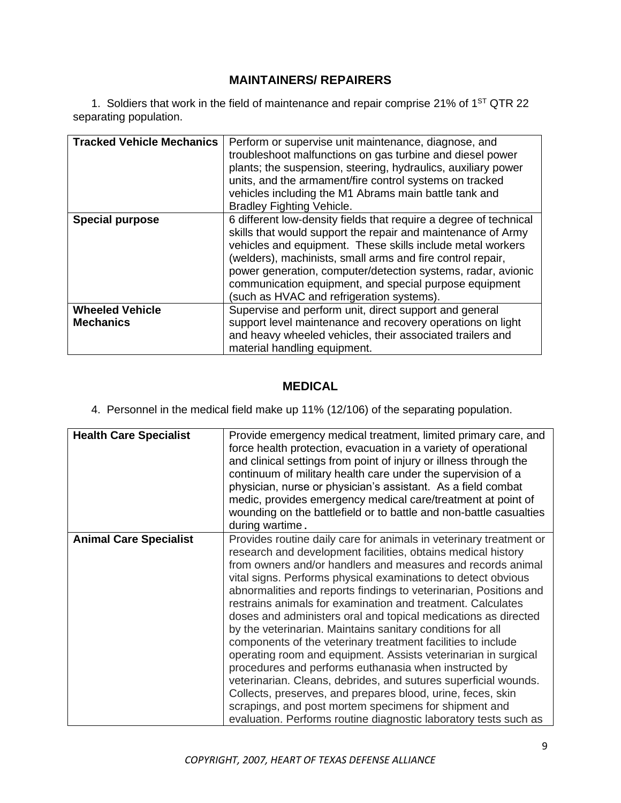# **MAINTAINERS/ REPAIRERS**

1. Soldiers that work in the field of maintenance and repair comprise 21% of  $1<sup>ST</sup> QTR 22$ separating population.

| <b>Tracked Vehicle Mechanics</b>           | Perform or supervise unit maintenance, diagnose, and<br>troubleshoot malfunctions on gas turbine and diesel power<br>plants; the suspension, steering, hydraulics, auxiliary power<br>units, and the armament/fire control systems on tracked<br>vehicles including the M1 Abrams main battle tank and<br><b>Bradley Fighting Vehicle.</b>                                                                                           |
|--------------------------------------------|--------------------------------------------------------------------------------------------------------------------------------------------------------------------------------------------------------------------------------------------------------------------------------------------------------------------------------------------------------------------------------------------------------------------------------------|
| <b>Special purpose</b>                     | 6 different low-density fields that require a degree of technical<br>skills that would support the repair and maintenance of Army<br>vehicles and equipment. These skills include metal workers<br>(welders), machinists, small arms and fire control repair,<br>power generation, computer/detection systems, radar, avionic<br>communication equipment, and special purpose equipment<br>(such as HVAC and refrigeration systems). |
| <b>Wheeled Vehicle</b><br><b>Mechanics</b> | Supervise and perform unit, direct support and general<br>support level maintenance and recovery operations on light<br>and heavy wheeled vehicles, their associated trailers and<br>material handling equipment.                                                                                                                                                                                                                    |

#### **MEDICAL**

4. Personnel in the medical field make up 11% (12/106) of the separating population.

| <b>Health Care Specialist</b> | Provide emergency medical treatment, limited primary care, and<br>force health protection, evacuation in a variety of operational<br>and clinical settings from point of injury or illness through the<br>continuum of military health care under the supervision of a<br>physician, nurse or physician's assistant. As a field combat<br>medic, provides emergency medical care/treatment at point of<br>wounding on the battlefield or to battle and non-battle casualties<br>during wartime.                                                                                                                                                                                                                                                                                                                                                                                                                                                                                                  |
|-------------------------------|--------------------------------------------------------------------------------------------------------------------------------------------------------------------------------------------------------------------------------------------------------------------------------------------------------------------------------------------------------------------------------------------------------------------------------------------------------------------------------------------------------------------------------------------------------------------------------------------------------------------------------------------------------------------------------------------------------------------------------------------------------------------------------------------------------------------------------------------------------------------------------------------------------------------------------------------------------------------------------------------------|
| <b>Animal Care Specialist</b> | Provides routine daily care for animals in veterinary treatment or<br>research and development facilities, obtains medical history<br>from owners and/or handlers and measures and records animal<br>vital signs. Performs physical examinations to detect obvious<br>abnormalities and reports findings to veterinarian, Positions and<br>restrains animals for examination and treatment. Calculates<br>doses and administers oral and topical medications as directed<br>by the veterinarian. Maintains sanitary conditions for all<br>components of the veterinary treatment facilities to include<br>operating room and equipment. Assists veterinarian in surgical<br>procedures and performs euthanasia when instructed by<br>veterinarian. Cleans, debrides, and sutures superficial wounds.<br>Collects, preserves, and prepares blood, urine, feces, skin<br>scrapings, and post mortem specimens for shipment and<br>evaluation. Performs routine diagnostic laboratory tests such as |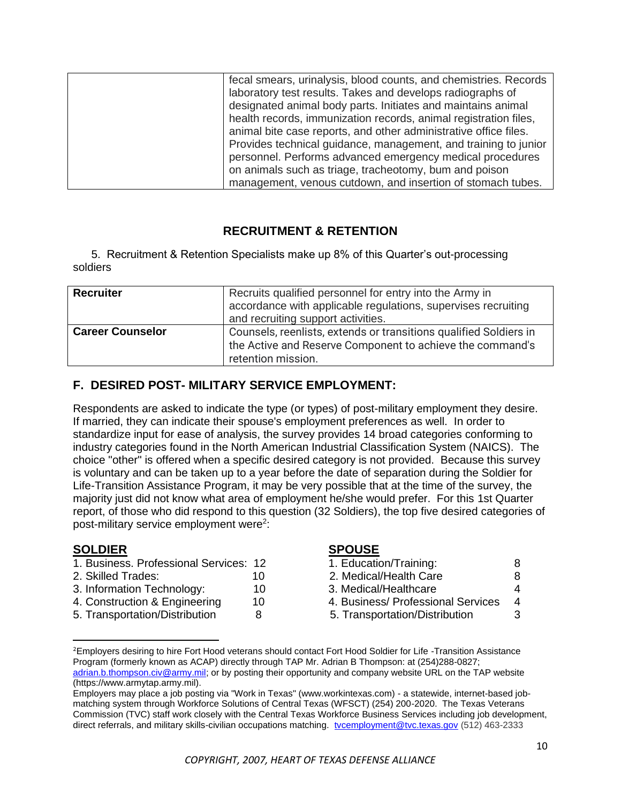| fecal smears, urinalysis, blood counts, and chemistries. Records |
|------------------------------------------------------------------|
| laboratory test results. Takes and develops radiographs of       |
| designated animal body parts. Initiates and maintains animal     |
| health records, immunization records, animal registration files, |
| animal bite case reports, and other administrative office files. |
| Provides technical guidance, management, and training to junior  |
| personnel. Performs advanced emergency medical procedures        |
| on animals such as triage, tracheotomy, bum and poison           |
| management, venous cutdown, and insertion of stomach tubes.      |

## **RECRUITMENT & RETENTION**

5. Recruitment & Retention Specialists make up 8% of this Quarter's out-processing soldiers

| <b>Recruiter</b>        | Recruits qualified personnel for entry into the Army in<br>accordance with applicable regulations, supervises recruiting<br>and recruiting support activities. |  |
|-------------------------|----------------------------------------------------------------------------------------------------------------------------------------------------------------|--|
| <b>Career Counselor</b> | Counsels, reenlists, extends or transitions qualified Soldiers in<br>the Active and Reserve Component to achieve the command's<br>retention mission.           |  |

## **F. DESIRED POST- MILITARY SERVICE EMPLOYMENT:**

Respondents are asked to indicate the type (or types) of post-military employment they desire. If married, they can indicate their spouse's employment preferences as well. In order to standardize input for ease of analysis, the survey provides 14 broad categories conforming to industry categories found in the North American Industrial Classification System (NAICS). The choice "other" is offered when a specific desired category is not provided. Because this survey is voluntary and can be taken up to a year before the date of separation during the Soldier for Life-Transition Assistance Program, it may be very possible that at the time of the survey, the majority just did not know what area of employment he/she would prefer. For this 1st Quarter report, of those who did respond to this question (32 Soldiers), the top five desired categories of post-military service employment were<sup>2</sup>:

#### **SOLDIER SPOUSE**

- 1. Business. Professional Services: 12 1. Education/Training: 8
- 
- 3. Information Technology: 10 3. Medical/Healthcare 4
- 4. Construction & Engineering 10 4. Business/ Professional Services 4
- 5. Transportation/Distribution 8 5. Transportation/Distribution 3

- 2. Skilled Trades: 10 2. Medical/Health Care 8
	-
	-
	-

<sup>&</sup>lt;sup>2</sup>Employers desiring to hire Fort Hood veterans should contact Fort Hood Soldier for Life -Transition Assistance Program (formerly known as ACAP) directly through TAP Mr. Adrian B Thompson: at (254)288-0827; [adrian.b.thompson.civ@army.mil;](mailto:adrian.b.thompson.civ@army.mil) or by posting their opportunity and company website URL on the TAP website (https://www.armytap.army.mil).

Employers may place a job posting via "Work in Texas" (www.workintexas.com) - a statewide, internet-based jobmatching system through Workforce Solutions of Central Texas (WFSCT) (254) 200-2020. The Texas Veterans Commission (TVC) staff work closely with the Central Texas Workforce Business Services including job development, direct referrals, and military skills-civilian occupations matching. [tvcemployment@tvc.texas.gov](mailto:tvcemployment@tvc.texas.gov) (512) 463-2333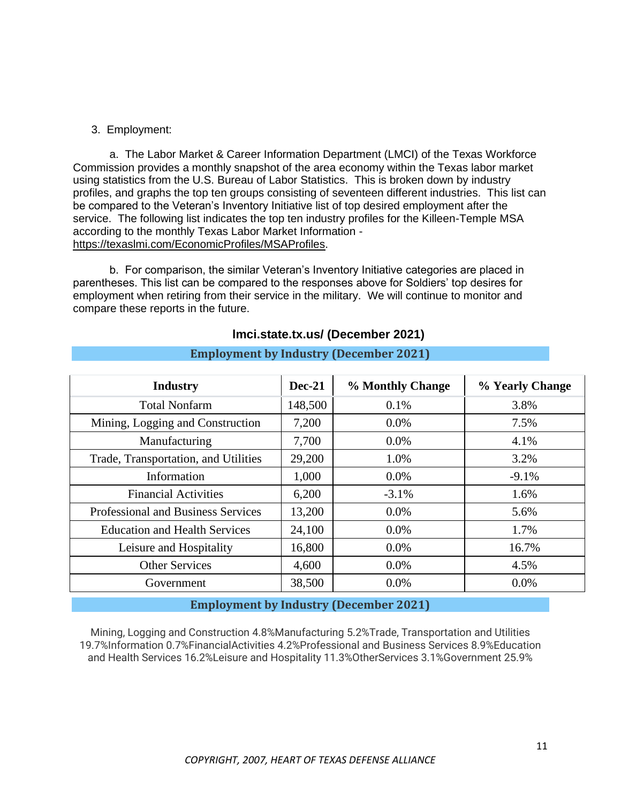#### 3. Employment:

a. The Labor Market & Career Information Department (LMCI) of the Texas Workforce Commission provides a monthly snapshot of the area economy within the Texas labor market using statistics from the U.S. Bureau of Labor Statistics. This is broken down by industry profiles, and graphs the top ten groups consisting of seventeen different industries. This list can be compared to the Veteran's Inventory Initiative list of top desired employment after the service. The following list indicates the top ten industry profiles for the Killeen-Temple MSA according to the monthly Texas Labor Market Information <https://texaslmi.com/EconomicProfiles/MSAProfiles>.

b. For comparison, the similar Veteran's Inventory Initiative categories are placed in parentheses. This list can be compared to the responses above for Soldiers' top desires for employment when retiring from their service in the military. We will continue to monitor and compare these reports in the future.

| <b>Industry</b>                           | $Dec-21$ | % Monthly Change | % Yearly Change |
|-------------------------------------------|----------|------------------|-----------------|
| <b>Total Nonfarm</b>                      | 148,500  | 0.1%             | 3.8%            |
| Mining, Logging and Construction          | 7,200    | $0.0\%$          | 7.5%            |
| Manufacturing                             | 7,700    | $0.0\%$          | 4.1%            |
| Trade, Transportation, and Utilities      | 29,200   | 1.0%             | 3.2%            |
| Information                               | 1,000    | $0.0\%$          | $-9.1%$         |
| <b>Financial Activities</b>               | 6,200    | $-3.1\%$         | 1.6%            |
| <b>Professional and Business Services</b> | 13,200   | $0.0\%$          | 5.6%            |
| <b>Education and Health Services</b>      | 24,100   | $0.0\%$          | 1.7%            |
| Leisure and Hospitality                   | 16,800   | $0.0\%$          | 16.7%           |
| <b>Other Services</b>                     | 4,600    | $0.0\%$          | 4.5%            |
| Government                                | 38,500   | $0.0\%$          | $0.0\%$         |

#### **lmci.state.tx.us/ (December 2021)**

#### **Employment by Industry (December 2021)**

#### **Employment by Industry (December 2021)**

Mining, Logging and Construction 4.8%Manufacturing 5.2%Trade, Transportation and Utilities 19.7%Information 0.7%FinancialActivities 4.2%Professional and Business Services 8.9%Education and Health Services 16.2%Leisure and Hospitality 11.3%OtherServices 3.1%Government 25.9%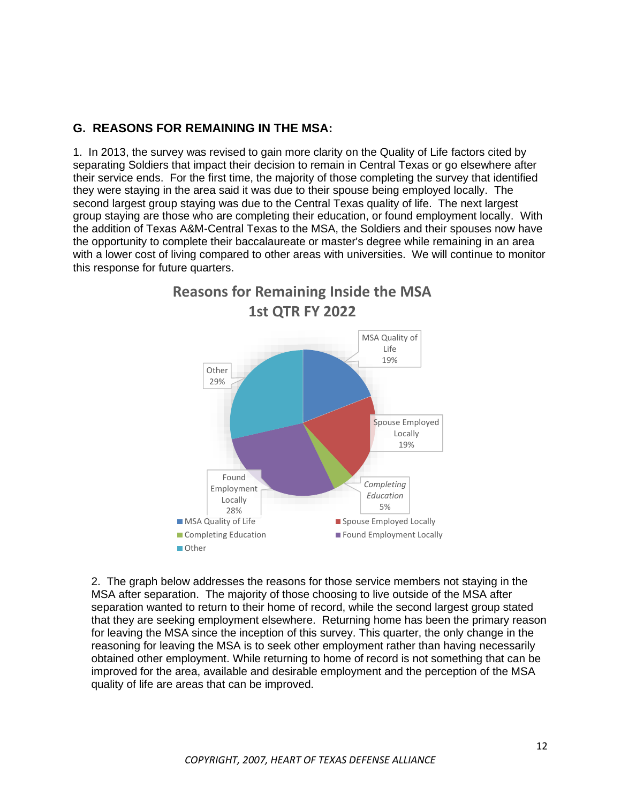#### **G. REASONS FOR REMAINING IN THE MSA:**

1. In 2013, the survey was revised to gain more clarity on the Quality of Life factors cited by separating Soldiers that impact their decision to remain in Central Texas or go elsewhere after their service ends. For the first time, the majority of those completing the survey that identified they were staying in the area said it was due to their spouse being employed locally. The second largest group staying was due to the Central Texas quality of life. The next largest group staying are those who are completing their education, or found employment locally. With the addition of Texas A&M-Central Texas to the MSA, the Soldiers and their spouses now have the opportunity to complete their baccalaureate or master's degree while remaining in an area with a lower cost of living compared to other areas with universities. We will continue to monitor this response for future quarters.



2. The graph below addresses the reasons for those service members not staying in the MSA after separation. The majority of those choosing to live outside of the MSA after separation wanted to return to their home of record, while the second largest group stated that they are seeking employment elsewhere. Returning home has been the primary reason for leaving the MSA since the inception of this survey. This quarter, the only change in the reasoning for leaving the MSA is to seek other employment rather than having necessarily obtained other employment. While returning to home of record is not something that can be improved for the area, available and desirable employment and the perception of the MSA quality of life are areas that can be improved.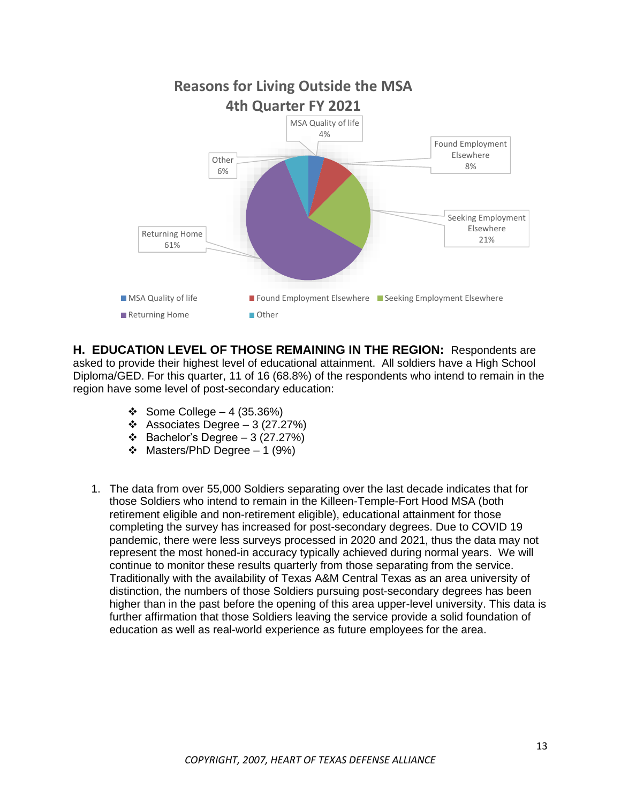

**H. EDUCATION LEVEL OF THOSE REMAINING IN THE REGION:** Respondents are asked to provide their highest level of educational attainment. All soldiers have a High School Diploma/GED. For this quarter, 11 of 16 (68.8%) of the respondents who intend to remain in the region have some level of post-secondary education:

- ❖ Some College 4 (35.36%)
- ❖ Associates Degree 3 (27.27%)
- ❖ Bachelor's Degree 3 (27.27%)
- ❖ Masters/PhD Degree 1 (9%)
- 1. The data from over 55,000 Soldiers separating over the last decade indicates that for those Soldiers who intend to remain in the Killeen-Temple-Fort Hood MSA (both retirement eligible and non-retirement eligible), educational attainment for those completing the survey has increased for post-secondary degrees. Due to COVID 19 pandemic, there were less surveys processed in 2020 and 2021, thus the data may not represent the most honed-in accuracy typically achieved during normal years. We will continue to monitor these results quarterly from those separating from the service. Traditionally with the availability of Texas A&M Central Texas as an area university of distinction, the numbers of those Soldiers pursuing post-secondary degrees has been higher than in the past before the opening of this area upper-level university. This data is further affirmation that those Soldiers leaving the service provide a solid foundation of education as well as real-world experience as future employees for the area.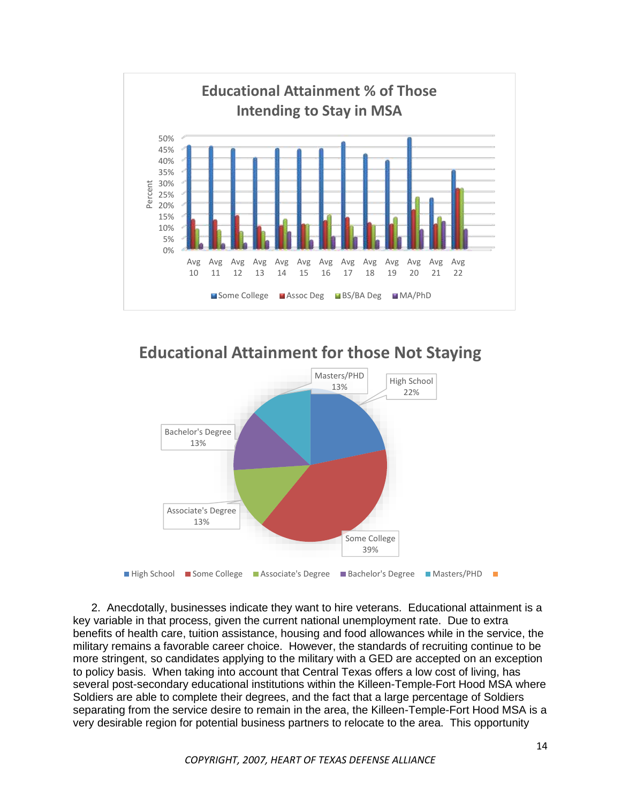

**Educational Attainment for those Not Staying**



2. Anecdotally, businesses indicate they want to hire veterans. Educational attainment is a key variable in that process, given the current national unemployment rate. Due to extra benefits of health care, tuition assistance, housing and food allowances while in the service, the military remains a favorable career choice. However, the standards of recruiting continue to be more stringent, so candidates applying to the military with a GED are accepted on an exception to policy basis. When taking into account that Central Texas offers a low cost of living, has several post-secondary educational institutions within the Killeen-Temple-Fort Hood MSA where Soldiers are able to complete their degrees, and the fact that a large percentage of Soldiers separating from the service desire to remain in the area, the Killeen-Temple-Fort Hood MSA is a very desirable region for potential business partners to relocate to the area. This opportunity